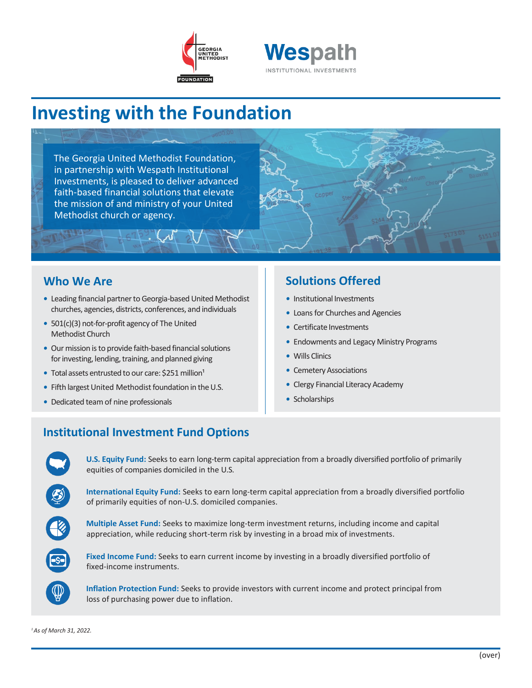



# **Investing with the Foundation**

The Georgia United Methodist Foundation, in partnership with Wespath Institutional Investments, is pleased to deliver advanced faith-based financial solutions that elevate the mission of and ministry of your United Methodist church or agency.

### **Who We Are**

- Leading financial partner to Georgia-based United Methodist churches, agencies, districts, conferences, and individuals
- *•* 501(c)(3) not-for-profit agency of The United Methodist Church
- Our mission is to provide faith-based financial solutions for investing, lending, training, and planned giving
- Total assets entrusted to our care: \$251 million<sup>1</sup>
- Fifth largest United Methodist foundation in the U.S.
- *•* Dedicated team of nine professionals

### **Solutions Offered**

- *•* Institutional Investments
- *•* Loans for Churches and Agencies
- *•* Certificate Investments
- *•* Endowments and Legacy Ministry Programs
- *•* Wills Clinics
- Cemetery Associations
- *•* Clergy Financial Literacy Academy
- *•* Scholarships

## **Institutional Investment Fund Options**

**U.S. Equity Fund:** Seeks to earn long-term capital appreciation from a broadly diversified portfolio of primarily equities of companies domiciled in the U.S.

**International Equity Fund:** Seeks to earn long-term capital appreciation from a broadly diversified portfolio of primarily equities of non-U.S. domiciled companies.

**Multiple Asset Fund:** Seeks to maximize long-term investment returns, including income and capital appreciation, while reducing short-term risk by investing in a broad mix of investments.



**Fixed Income Fund:** Seeks to earn current income by investing in a broadly diversified portfolio of fixed-income instruments.

**Inflation Protection Fund:** Seeks to provide investors with current income and protect principal from loss of purchasing power due to inflation.

*<sup>1</sup>As of March 31, 2022.*